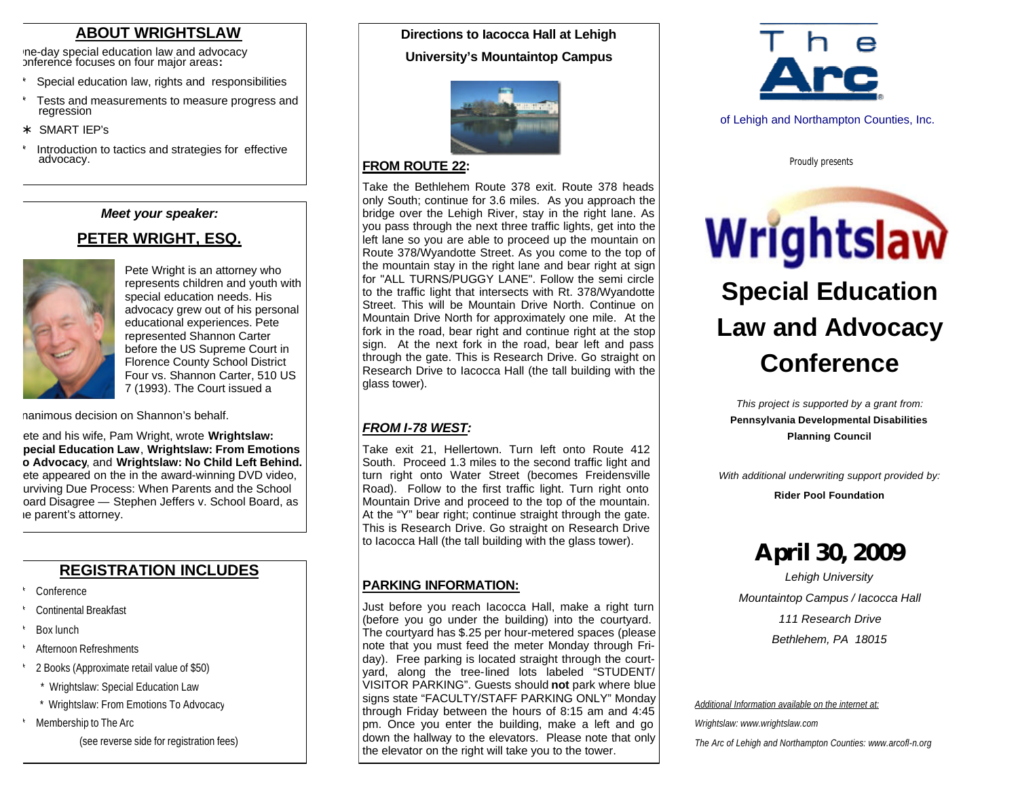### **ABOUT WRIGHTSLAW**

One-day special education law and advocacy conference focuses on four major areas**:**

- Special education law, rights and responsibilities
- Tests and measurements to measure progress and regression

SMART IEP's

Introduction to tactics and strategies for effective advocacy.

#### *Meet your speaker:*

### **PETER WRIGHT, ESQ.**



Pete Wright is an attorney who represents children and youth with special education needs. His advocacy grew out of his personal educational experiences. Pete represented Shannon Carter before the US Supreme Court in Florence County School District Four vs. Shannon Carter, 510 US 7 (1993). The Court issued a

nanimous decision on Shannon's behalf.

ete and his wife, Pam Wright, wrote **Wrightslaw: Special Education Law**, **Wrightslaw: From Emotions To Advocacy**, and **Wrightslaw: No Child Left Behind.** ete appeared on the in the award-winning DVD video, urviving Due Process: When Parents and the School oard Disagree — Stephen Jeffers v. School Board, as ie parent's attorney.

## **REGISTRATION INCLUDES**

- **Conference**
- Continental Breakfast
- Box lunch
- Afternoon Refreshments
- 2 Books (Approximate retail value of \$50)
	- \* Wrightslaw: Special Education Law
- \* Wrightslaw: From Emotions To Advocacy
- Membership to The Arc

(see reverse side for registration fees)

## **Directions to Iacocca Hall at Lehigh University's Mountaintop Campus**



#### **FROM ROUTE 22:**

Take the Bethlehem Route 378 exit. Route 378 heads only South; continue for 3.6 miles. As you approach the bridge over the Lehigh River, stay in the right lane. As you pass through the next three traffic lights, get into the left lane so you are able to proceed up the mountain on Route 378/Wyandotte Street. As you come to the top of the mountain stay in the right lane and bear right at sign for "ALL TURNS/PUGGY LANE". Follow the semi circle to the traffic light that intersects with Rt. 378/Wyandotte Street. This will be Mountain Drive North. Continue on Mountain Drive North for approximately one mile. At the fork in the road, bear right and continue right at the stop sign. At the next fork in the road, bear left and pass through the gate. This is Research Drive. Go straight on Research Drive to Iacocca Hall (the tall building with the glass tower).

#### *FROM I-78 WEST:*

Take exit 21, Hellertown. Turn left onto Route 412 South. Proceed 1.3 miles to the second traffic light and turn right onto Water Street (becomes Freidensville Road). Follow to the first traffic light. Turn right onto Mountain Drive and proceed to the top of the mountain. At the "Y" bear right; continue straight through the gate. This is Research Drive. Go straight on Research Drive to Iacocca Hall (the tall building with the glass tower).

#### **PARKING INFORMATION:**

Just before you reach Iacocca Hall, make a right turn (before you go under the building) into the courtyard. The courtyard has \$.25 per hour-metered spaces (please note that you must feed the meter Monday through Friday). Free parking is located straight through the courtyard, along the tree-lined lots labeled "STUDENT/ VISITOR PARKING". Guests should **not** park where blue signs state "FACULTY/STAFF PARKING ONLY" Monday through Friday between the hours of 8:15 am and 4:45 pm. Once you enter the building, make a left and go down the hallway to the elevators. Please note that only the elevator on the right will take you to the tower.



of Lehigh and Northampton Counties, Inc.

*Proudly presents*

Wrightslaw **Special Education Law and Advocacy Conference**

> *This project is supported by a grant from:* **Pennsylvania Developmental Disabilities Planning Council**

*With additional underwriting support provided by:*

**Rider Pool Foundation** 

## **April 30, 2009**

*Lehigh University Mountaintop Campus / Iacocca Hall 111 Research Drive Bethlehem, PA 18015*

*Additional Information available on the internet at:*

*Wrightslaw: www.wrightslaw.com*

*The Arc of Lehigh and Northampton Counties: www.arcofl-n.org*